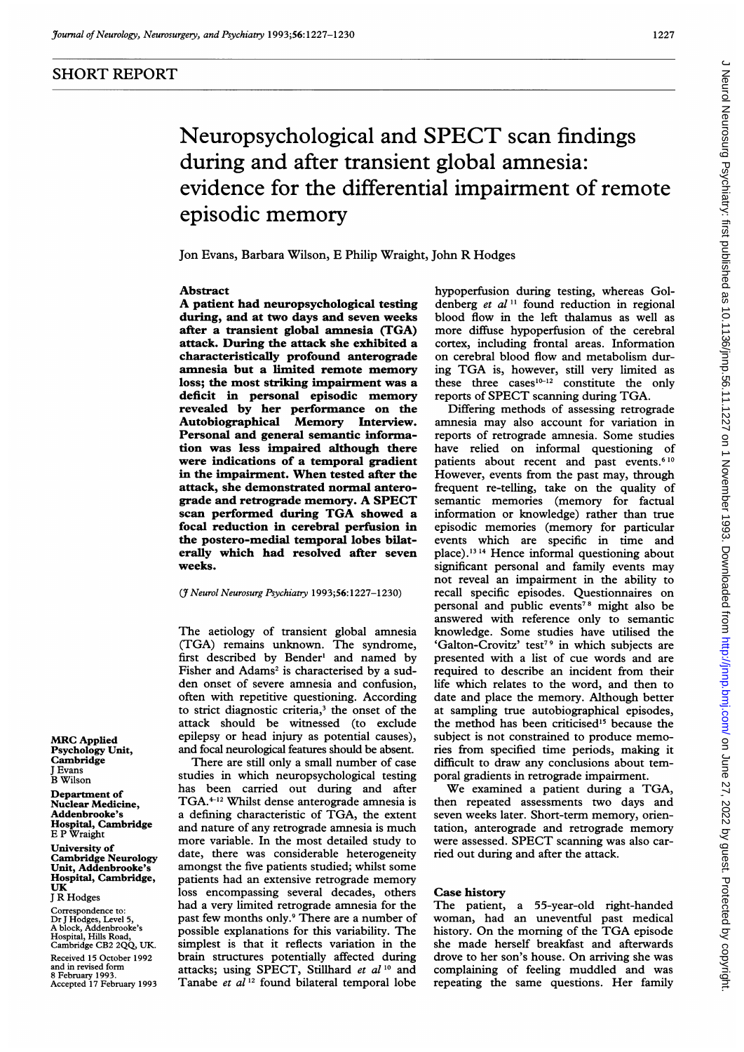# SHORT REPORT

# Neuropsychological and SPECT scan findings during and after transient global amnesia: evidence for the differential impairment of remote episodic memory

Jon Evans, Barbara Wilson, E Philip Wraight, John R Hodges

#### Abstract

A patient had neuropsychological testing during, and at two days and seven weeks after a transient global amnesia (TGA) attack. During the attack she exhibited a characteristically profound anterograde amnesia but a limited remote memory loss; the most striking impairment was a deficit in personal episodic memory revealed by her performance on the Autobiographical Memory Interview. Personal and general semantic information was less impaired although there were indications of a temporal gradient in the impairment. When tested after the attack, she demonstrated normal anterograde and retrograde memory. A SPECT scan performed during TGA showed <sup>a</sup> focal reduction in cerebral perfusion in the postero-medial temporal lobes bilaterally which had resolved after seven weeks.

#### (7 Neurol Neurosurg Psychiatry 1993;56: 1227-1230)

The aetiology of transient global amnesia (TGA) remains unknown. The syndrome, first described by Bender' and named by Fisher and Adams<sup>2</sup> is characterised by a sudden onset of severe amnesia and confusion, often with repetitive questioning. According to strict diagnostic criteria,<sup>3</sup> the onset of the attack should be wimessed (to exclude epilepsy or head injury as potential causes), and focal neurological features should be absent.

There are still only a small number of case studies in which neuropsychological testing has been carried out during and after TGA.<sup>4-12</sup> Whilst dense anterograde amnesia is <sup>a</sup> defining characteristic of TGA, the extent and nature of any retrograde amnesia is much more variable. In the most detailed study to date, there was considerable heterogeneity amongst the five patients studied; whilst some patients had an extensive retrograde memory loss encompassing several decades, others had a very limited retrograde amnesia for the past few months only.9 There are a number of possible explanations for this variability. The simplest is that it reflects variation in the brain structures potentially affected during attacks; using SPECT, Stillhard et al<sup>10</sup> and Tanabe et al<sup>12</sup> found bilateral temporal lobe

hypoperfusion during testing, whereas Goldenberg et  $al<sup>11</sup>$  found reduction in regional blood flow in the left thalamus as well as more diffuse hypoperfusion of the cerebral cortex, including frontal areas. Information on cerebral blood flow and metabolism during TGA is, however, still very limited as these three  $cases^{10-12}$  constitute the only reports of SPECT scanning during TGA.

Differing methods of assessing retrograde amnesia may also account for variation in reports of retrograde amnesia. Some studies have relied on informal questioning of patients about recent and past events.<sup>610</sup> However, events from the past may, through frequent re-telling, take on the quality of semantic memories (memory for factual information or knowledge) rather than true episodic memories (memory for particular events which are specific in time and place).<sup>13 14</sup> Hence informal questioning about significant personal and family events may not reveal an impairment in the ability to recall specific episodes. Questionnaires on personal and public events<sup>78</sup> might also be answered with reference only to semantic knowledge. Some studies have utilised the 'Galton-Crovitz' test<sup>79</sup> in which subjects are presented with a list of cue words and are required to describe an incident from their life which relates to the word, and then to date and place the memory. Although better at sampling true autobiographical episodes, the method has been criticised<sup>15</sup> because the subject is not constrained to produce memories from specified time periods, making it difficult to draw any conclusions about temporal gradients in retrograde impairment.

We examined <sup>a</sup> patient during <sup>a</sup> TGA, then repeated assessments two days and seven weeks later. Short-term memory, orientation, anterograde and retrograde memory were assessed. SPECT scanning was also carried out during and after the attack.

#### Case history

The patient, a 55-year-old right-handed woman, had an uneventful past medical history. On the morning of the TGA episode she made herself breakfast and afterwards drove to her son's house. On arriving she was complaining of feeling muddled and was repeating the same questions. Her family

MRC Applied Psychology Unit, **Cambridge** J Evans B Wilson

Department of Nuclear Medicine, Addenbrooke's Hospital, Cambridge E P Wraight

University of Cambridge Neurology Unit, Addenbrooke's Hospital, Cambridge, UK <sup>J</sup> R Hodges

Correspondence to Dr <sup>J</sup> Hodges, Level 5, A block, Addenbrooke's Hospital, Hills Road, Cambridge CB2 2QQ, UK. Received 15 October 1992 and in revised form 8 February 1993. Accepted 17 February 1993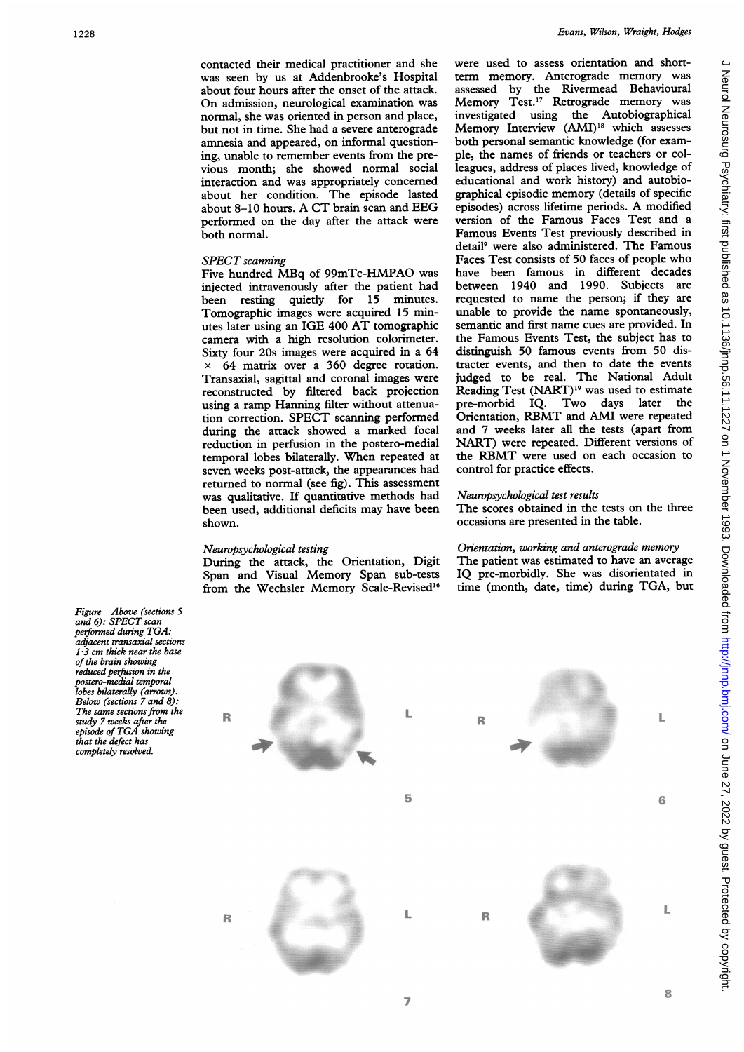contacted their medical practitioner and she was seen by us at Addenbrooke's Hospital about four hours after the onset of the attack. On admission, neurological examination was normal, she was oriented in person and place, but not in time. She had a severe anterograde amnesia and appeared, on informal questioning, unable to remember events from the previous month; she showed normal social interaction and was appropriately concerned about her condition. The episode lasted about 8-10 hours. A CT brain scan and EEG performed on the day after the attack were both normal.

# SPECT scanning

Five hundred MBq of 99mTc-HMPAO was injected intravenously after the patient had been resting quietly for 15 minutes. Tomographic images were acquired 15 minutes later using an IGE 400 AT tomographic camera with a high resolution colorimeter. Sixty four 20s images were acquired in a 64 x 64 matrix over a 360 degree rotation. Transaxial, sagittal and coronal images were reconstructed by filtered back projection using a ramp Hanning filter without attenuation correction. SPECT scanning performed during the attack showed a marked focal reduction in perfusion in the postero-medial temporal lobes bilaterally. When repeated at seven weeks post-attack, the appearances had returned to normal (see fig). This assessment was qualitative. If quantitative methods had been used, additional deficits may have been shown.

# Neuropsychological testing

During the attack, the Orientation, Digit Span and Visual Memory Span sub-tests from the Wechsler Memory Scale-Revised'6

were used to assess orientation and shortterm memory. Anterograde memory was assessed by the Rivermead Behavioural Memory Test.'7 Retrograde memory was investigated using the Autobiographical Memory Interview (AMI)<sup>18</sup> which assesses both personal semantic knowledge (for example, the names of friends or teachers or colleagues, address of places lived, knowledge of educational and work history) and autobiographical episodic memory (details of specific episodes) across lifetime periods. A modified version of the Famous Faces Test and a Famous Events Test previously described in detail9 were also administered. The Famous Faces Test consists of 50 faces of people who have been famous in different decades between 1940 and 1990. Subjects are requested to name the person; if they are unable to provide the name spontaneously, semantic and first name cues are provided. In the Famous Events Test, the subject has to distinguish 50 famous events from 50 distracter events, and then to date the events judged to be real. The National Adult Reading Test (NART)<sup>19</sup> was used to estimate pre-morbid IQ. Two days later the Orientation, RBMT and AMI were repeated and 7 weeks later all the tests (apart from NART) were repeated. Different versions of the RBMT were used on each occasion to control for practice effects.

# Neuropsychological test results

The scores obtained in the tests on the three occasions are presented in the table.

# Orientation, working and anterograde memory The patient was estimated to have an average

IQ pre-morbidly. She was disorientated in time (month, date, time) during TGA, but

Figure Above (sections 5)<br>and 6): SPECT scan performed during TGA: adjacent transaxial sections  $1.3$  cm thick near the base of the brain showing reduced perfusion in the postero-medial temporal lobes bilaterally (arrows). Below (sections  $7$  and  $8$ ). The same sections from the study 7 weeks after the episode of TGA showing that the defect has completely resolved.

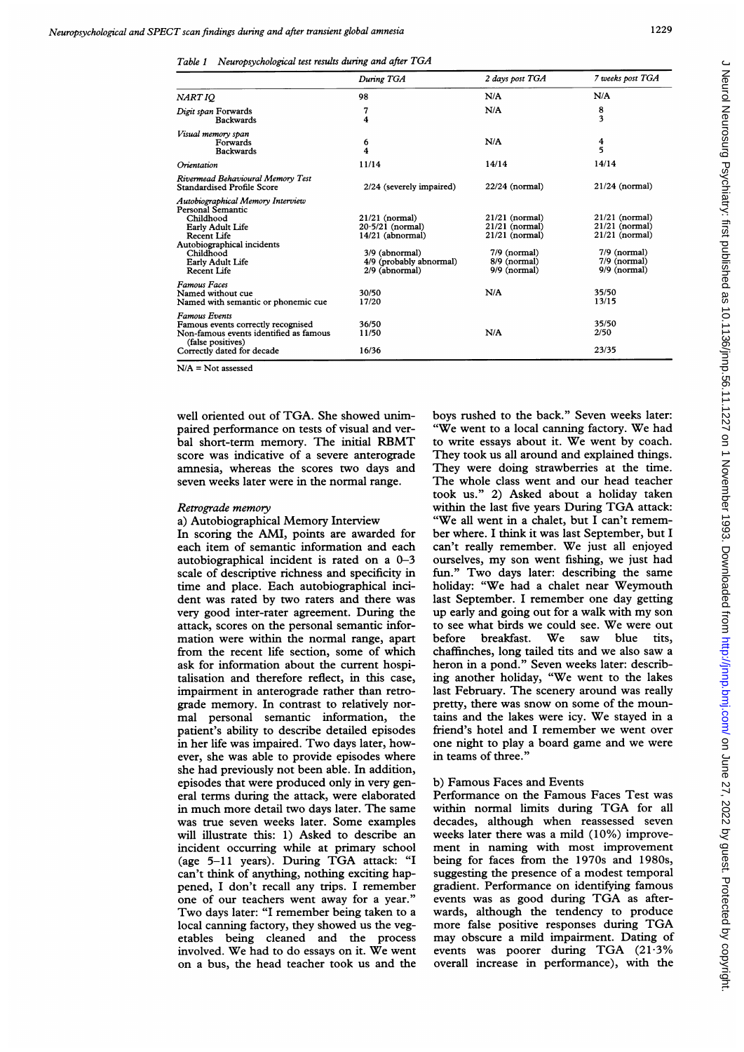Table <sup>1</sup> Neuropsychological test results during and after TGA

|                                                                                                                                                                                             | During TGA                                                                                                                  | 2 days post TGA                                                                                              | 7 weeks post TGA                                                                                               |
|---------------------------------------------------------------------------------------------------------------------------------------------------------------------------------------------|-----------------------------------------------------------------------------------------------------------------------------|--------------------------------------------------------------------------------------------------------------|----------------------------------------------------------------------------------------------------------------|
| NART IQ                                                                                                                                                                                     | 98                                                                                                                          | N/A                                                                                                          | N/A                                                                                                            |
| Digit span Forwards<br><b>Backwards</b>                                                                                                                                                     | 7<br>4                                                                                                                      | N/A                                                                                                          | 8<br>3                                                                                                         |
| Visual memory span<br>Forwards<br><b>Backwards</b>                                                                                                                                          | 6<br>4                                                                                                                      | N/A                                                                                                          | 4<br>5                                                                                                         |
| Orientation                                                                                                                                                                                 | 11/14                                                                                                                       | 14/14                                                                                                        | 14/14                                                                                                          |
| Rivermead Behavioural Memory Test<br><b>Standardised Profile Score</b>                                                                                                                      | 2/24 (severely impaired)                                                                                                    | $22/24$ (normal)                                                                                             | $21/24$ (normal)                                                                                               |
| Autobiographical Memory Interview<br>Personal Semantic<br>Childhood<br>Early Adult Life<br><b>Recent Life</b><br>Autobiographical incidents<br>Childhood<br>Early Adult Life<br>Recent Life | $21/21$ (normal)<br>$20.5/21$ (normal)<br>$14/21$ (abnormal)<br>3/9 (abnormal)<br>4/9 (probably abnormal)<br>2/9 (abnormal) | $21/21$ (normal)<br>$21/21$ (normal)<br>$21/21$ (normal)<br>$7/9$ (normal)<br>8/9 (normal)<br>$9/9$ (normal) | $21/21$ (normal)<br>$21/21$ (normal)<br>$21/21$ (normal)<br>$7/9$ (normal)<br>$7/9$ (normal)<br>$9/9$ (normal) |
| <b>Famous Faces</b><br>Named without cue<br>Named with semantic or phonemic cue                                                                                                             | 30/50<br>17/20                                                                                                              | N/A                                                                                                          | 35/50<br>13/15                                                                                                 |
| <b>Famous Events</b><br>Famous events correctly recognised<br>Non-famous events identified as famous<br>(false positives)<br>Correctly dated for decade                                     | 36/50<br>11/50<br>16/36                                                                                                     | N/A                                                                                                          | 35/50<br>2/50<br>23/35                                                                                         |

 $N/A = Not$  assessed

well oriented out of TGA. She showed unimpaired performance on tests of visual and verbal short-term memory. The initial RBMT score was indicative of a severe anterograde amnesia, whereas the scores two days and seven weeks later were in the normal range.

#### Retrograde memory

a) Autobiographical Memory Interview In scoring the AMI, points are awarded for each item of semantic information and each autobiographical incident is rated on a 0-3 scale of descriptive richness and specificity in time and place. Each autobiographical incident was rated by two raters and there was very good inter-rater agreement. During the attack, scores on the personal semantic information were within the normal range, apart from the recent life section, some of which ask for information about the current hospitalisation and therefore reflect, in this case, impairment in anterograde rather than retrograde memory. In contrast to relatively normal personal semantic information, the patient's ability to describe detailed episodes in her life was impaired. Two days later, however, she was able to provide episodes where she had previously not been able. In addition, episodes that were produced only in very general terms during the attack, were elaborated in much more detail two days later. The same was true seven weeks later. Some examples will illustrate this: 1) Asked to describe an incident occurring while at primary school (age 5-11 years). During TGA attack: "I can't think of anything, nothing exciting happened, <sup>I</sup> don't recall any trips. <sup>I</sup> remember one of our teachers went away for a year." Two days later: "I remember being taken to <sup>a</sup> local canning factory, they showed us the vegetables being cleaned and the process involved. We had to do essays on it. We went on a bus, the head teacher took us and the

boys rushed to the back." Seven weeks later: "We went to <sup>a</sup> local canning factory. We had to write essays about it. We went by coach. They took us all around and explained things. They were doing strawberries at the time. The whole class went and our head teacher took us." 2) Asked about a holiday taken within the last five years During TGA attack: "We all went in <sup>a</sup> chalet, but <sup>I</sup> can't remember where. <sup>I</sup> think it was last September, but <sup>I</sup> can't really remember. We just all enjoyed ourselves, my son went fishing, we just had fun." Two days later: describing the same holiday: "We had <sup>a</sup> chalet near Weymouth last September. <sup>I</sup> remember one day getting up early and going out for <sup>a</sup> walk with my son to see what birds we could see. We were out<br>before breakfast. We saw blue tits, We saw chaffinches, long tailed tits and we also saw <sup>a</sup> heron in a pond." Seven weeks later: describing another holiday, "We went to the lakes last February. The scenery around was really pretty, there was snow on some of the mountains and the lakes were icy. We stayed in <sup>a</sup> friend's hotel and <sup>I</sup> remember we went over one night to play <sup>a</sup> board game and we were in teams of three."

### b) Famous Faces and Events

Performance on the Famous Faces Test was within normal limits during TGA for all decades, although when reassessed seven weeks later there was a mild (10%) improvement in naming with most improvement being for faces from the 1970s and 1980s, suggesting the presence of a modest temporal gradient. Performance on identifying famous events was as good during TGA as afterwards, although the tendency to produce more false positive responses during TGA may obscure <sup>a</sup> mild impairment. Dating of events was poorer during TGA (21-3% overall increase in performance), with the